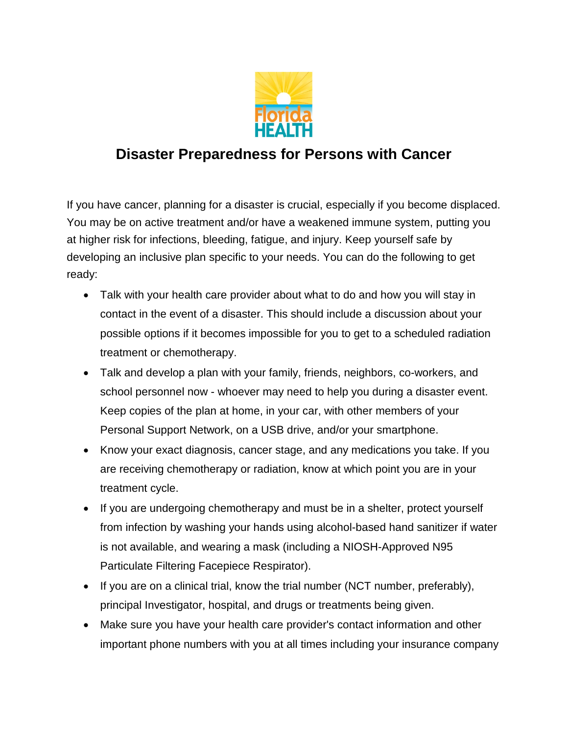

## **Disaster Preparedness for Persons with Cancer**

If you have cancer, planning for a disaster is crucial, especially if you become displaced. You may be on active treatment and/or have a weakened immune system, putting you at higher risk for infections, bleeding, fatigue, and injury. Keep yourself safe by developing an inclusive plan specific to your needs. You can do the following to get ready:

- Talk with your health care provider about what to do and how you will stay in contact in the event of a disaster. This should include a discussion about your possible options if it becomes impossible for you to get to a scheduled radiation treatment or chemotherapy.
- Talk and develop a plan with your family, friends, neighbors, co-workers, and school personnel now - whoever may need to help you during a disaster event. Keep copies of the plan at home, in your car, with other members of your Personal Support Network, on a USB drive, and/or your smartphone.
- Know your exact diagnosis, cancer stage, and any medications you take. If you are receiving chemotherapy or radiation, know at which point you are in your treatment cycle.
- If you are undergoing chemotherapy and must be in a shelter, protect yourself from infection by washing your hands using alcohol-based hand sanitizer if water is not available, and wearing a mask (including a NIOSH-Approved N95 Particulate Filtering Facepiece Respirator).
- If you are on a clinical trial, know the trial number (NCT number, preferably), principal Investigator, hospital, and drugs or treatments being given.
- Make sure you have your health care provider's contact information and other important phone numbers with you at all times including your insurance company